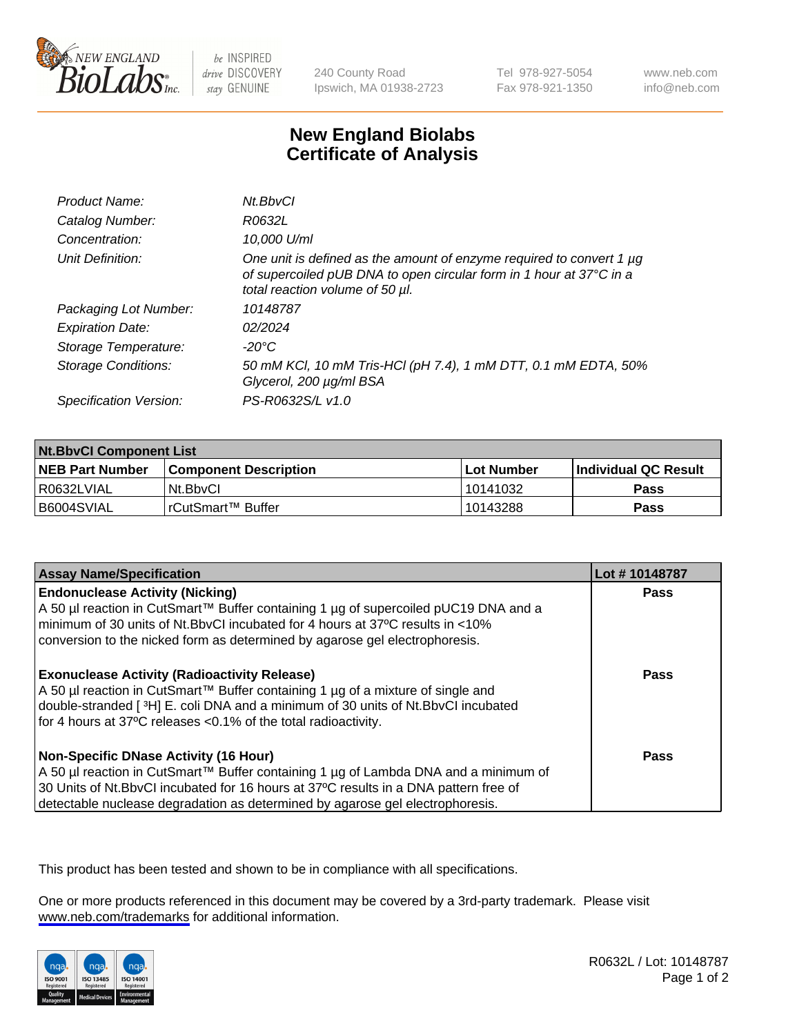

be INSPIRED drive DISCOVERY stay GENUINE

240 County Road Ipswich, MA 01938-2723 Tel 978-927-5054 Fax 978-921-1350

www.neb.com info@neb.com

## **New England Biolabs Certificate of Analysis**

| Product Name:              | Nt.BbvCl                                                                                                                                                                            |
|----------------------------|-------------------------------------------------------------------------------------------------------------------------------------------------------------------------------------|
| Catalog Number:            | R0632L                                                                                                                                                                              |
| Concentration:             | 10,000 U/ml                                                                                                                                                                         |
| Unit Definition:           | One unit is defined as the amount of enzyme required to convert 1 $\mu$ g<br>of supercoiled pUB DNA to open circular form in 1 hour at 37°C in a<br>total reaction volume of 50 µl. |
| Packaging Lot Number:      | 10148787                                                                                                                                                                            |
| <b>Expiration Date:</b>    | 02/2024                                                                                                                                                                             |
| Storage Temperature:       | -20°C                                                                                                                                                                               |
| <b>Storage Conditions:</b> | 50 mM KCl, 10 mM Tris-HCl (pH 7.4), 1 mM DTT, 0.1 mM EDTA, 50%<br>Glycerol, 200 µg/ml BSA                                                                                           |
| Specification Version:     | PS-R0632S/L v1.0                                                                                                                                                                    |

| <b>Nt.BbvCl Component List</b> |                         |              |                             |  |
|--------------------------------|-------------------------|--------------|-----------------------------|--|
| <b>NEB Part Number</b>         | l Component Description | l Lot Number | <b>Individual QC Result</b> |  |
| I R0632LVIAL                   | Nt.BbvCl                | 10141032     | Pass                        |  |
| I B6004SVIAL                   | l rCutSmart™ Buffer     | 10143288     | Pass                        |  |

| <b>Assay Name/Specification</b>                                                                                                                                                                                                                                                                         | Lot #10148787 |
|---------------------------------------------------------------------------------------------------------------------------------------------------------------------------------------------------------------------------------------------------------------------------------------------------------|---------------|
| <b>Endonuclease Activity (Nicking)</b><br>  A 50 µl reaction in CutSmart™ Buffer containing 1 µg of supercoiled pUC19 DNA and a<br>minimum of 30 units of Nt.BbvCI incubated for 4 hours at 37°C results in <10%<br>conversion to the nicked form as determined by agarose gel electrophoresis.         | <b>Pass</b>   |
| <b>Exonuclease Activity (Radioactivity Release)</b><br>  A 50 µl reaction in CutSmart™ Buffer containing 1 µg of a mixture of single and<br>double-stranded [3H] E. coli DNA and a minimum of 30 units of Nt. BbvCl incubated<br>for 4 hours at 37°C releases <0.1% of the total radioactivity.         | Pass          |
| Non-Specific DNase Activity (16 Hour)<br>  A 50 µl reaction in CutSmart™ Buffer containing 1 µg of Lambda DNA and a minimum of<br>30 Units of Nt.BbvCl incubated for 16 hours at 37°C results in a DNA pattern free of<br>detectable nuclease degradation as determined by agarose gel electrophoresis. | Pass          |

This product has been tested and shown to be in compliance with all specifications.

One or more products referenced in this document may be covered by a 3rd-party trademark. Please visit <www.neb.com/trademarks>for additional information.